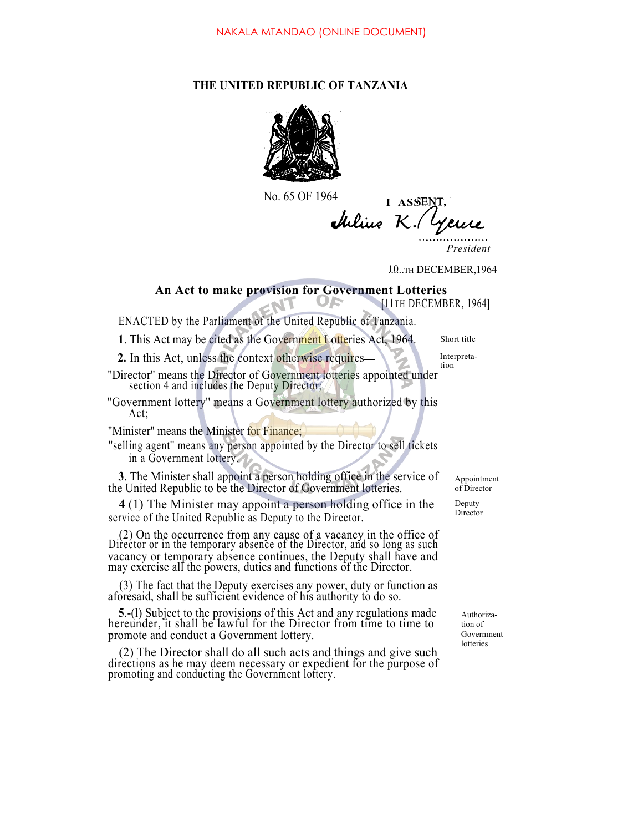## **THE UNITED REPUBLIC OF TANZANIA**



No. 65 OF 1964

**I ASSE** Julius K

*President*

10..TH DECEMBER, 1964

### **An Act to make provision for Government Lotteries**

**[**11TH DECEMBER, 1964**]**

ENACTED by the Parliament of the United Republic of Tanzania.

1. This Act may be cited as the Government Lotteries Act, 1964. Short title

**2.** In this Act, unless the context otherwise requires **Interpreta-**

''Director'' means the Director of Government lotteries appointed under section 4 and includes the Deputy Director;

''Government lottery'' means a Government lottery authorized by this Act;

"Minister" means the Minister for Finance;

''selling agent'' means any person appointed by the Director to sell tickets in a Government lottery.

**3**. The Minister shall appoint a person holding office in the service of the United Republic to be the Director of Government lotteries.

**4** (1) The Minister may appoint a person holding office in the service of the United Republic as Deputy to the Director.

(2) On the occurrence from any cause of a vacancy in the office of Director or in the temporary absence of the Director, and so long as such may exercise all the powers, duties and functions of the Director.

(3) The fact that the Deputy exercises any power, duty or function as aforesaid, shall be sufficient evidence of his authority to do so.

**<sup>5</sup>**.-(l) Subject to the provisions of this Act and any regulations made hereunder, it shall be lawful for the Director from time to time to promote and conduct a Government lottery.

(2) The Director shall do all such acts and things and give such directions as he may deem necessary or expedient for the purpose of promoting and conducting the Government lottery.

Appointment of Director Deputy

Director

Authorization of Government lotteries

tion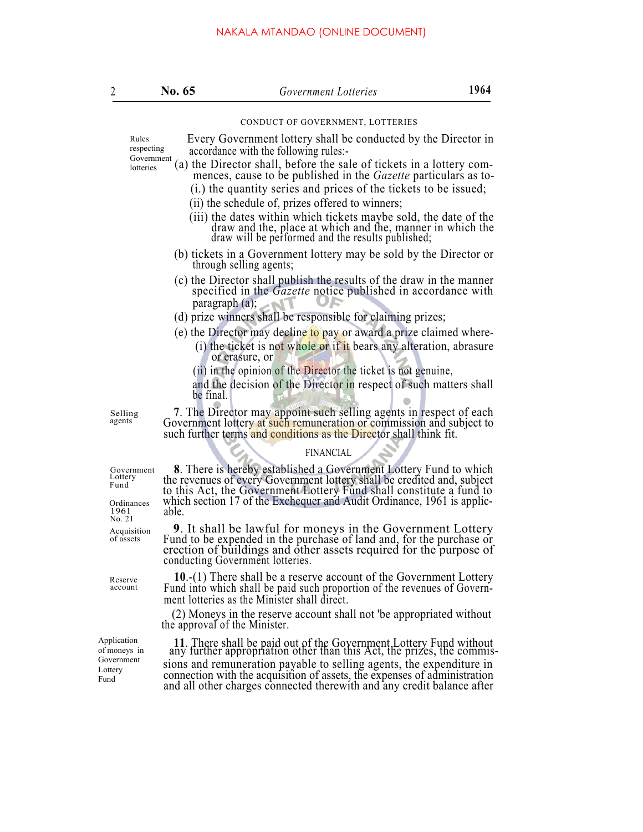| 2                                           | No. 65                        | Government Lotteries                                                                                                                                                                                                                                                                                  | 1964                                                                   |  |
|---------------------------------------------|-------------------------------|-------------------------------------------------------------------------------------------------------------------------------------------------------------------------------------------------------------------------------------------------------------------------------------------------------|------------------------------------------------------------------------|--|
|                                             |                               | CONDUCT OF GOVERNMENT, LOTTERIES                                                                                                                                                                                                                                                                      |                                                                        |  |
| Rules<br>respecting                         |                               | Every Government lottery shall be conducted by the Director in<br>accordance with the following rules:-                                                                                                                                                                                               |                                                                        |  |
| Government<br>lotteries                     |                               | (a) the Director shall, before the sale of tickets in a lottery com-<br>mences, cause to be published in the Gazette particulars as to-                                                                                                                                                               |                                                                        |  |
|                                             |                               | (i.) the quantity series and prices of the tickets to be issued;                                                                                                                                                                                                                                      |                                                                        |  |
|                                             |                               | (ii) the schedule of, prizes offered to winners;                                                                                                                                                                                                                                                      |                                                                        |  |
|                                             |                               | (iii) the dates within which tickets maybe sold, the date of the<br>draw and the, place at which and the, manner in which the draw will be performed and the results published;                                                                                                                       |                                                                        |  |
|                                             |                               | (b) tickets in a Government lottery may be sold by the Director or<br>through selling agents;                                                                                                                                                                                                         |                                                                        |  |
|                                             |                               | (c) the Director shall publish the results of the draw in the manner<br>specified in the Gazette notice published in accordance with<br>paragraph $(a)$ ;                                                                                                                                             |                                                                        |  |
|                                             |                               | (d) prize winners shall be responsible for claiming prizes;                                                                                                                                                                                                                                           |                                                                        |  |
|                                             |                               | (e) the Director may decline to pay or award a prize claimed where-                                                                                                                                                                                                                                   |                                                                        |  |
|                                             |                               | (i) the ticket is not whole or if it bears any alteration, abrasure<br>or erasure, or                                                                                                                                                                                                                 |                                                                        |  |
|                                             |                               | (ii) in the opinion of the Director the ticket is not genuine,                                                                                                                                                                                                                                        |                                                                        |  |
|                                             | be final.                     | and the decision of the Director in respect of such matters shall                                                                                                                                                                                                                                     |                                                                        |  |
| Selling<br>agents                           |                               | 7. The Director may appoint such selling agents in respect of each<br>Government lottery at such remuneration or commission and subject to<br>such further terms and conditions as the Director shall think fit.                                                                                      |                                                                        |  |
|                                             |                               | <b>FINANCIAL</b>                                                                                                                                                                                                                                                                                      |                                                                        |  |
| Government<br>Lottery<br>Fund<br>Ordinances |                               | <b>8</b> . There is hereby established a Government Lottery Fund to which<br>the revenues of every Government lottery shall be credited and, subject<br>to this Act, the Government Lottery Fund shall constitute a fund to<br>which section 17 of the Exchequer and Audit Ordinance, 1961 is applic- |                                                                        |  |
| 1961<br>No. 21                              | able.                         |                                                                                                                                                                                                                                                                                                       |                                                                        |  |
| Acquisition<br>of assets                    |                               | 9. It shall be lawful for moneys in the Government Lottery<br>Fund to be expended in the purchase of land and, for the purchase or<br>erection of buildings and other assets required for the purpose of<br>conducting Government lotteries.                                                          |                                                                        |  |
| Reserve<br>account                          |                               | 10.-(1) There shall be a reserve account of the Government Lottery<br>Fund into which shall be paid such proportion of the revenues of Government lotteries as the Minister shall direct.                                                                                                             |                                                                        |  |
|                                             | the approval of the Minister. | (2) Moneys in the reserve account shall not 'be appropriated without                                                                                                                                                                                                                                  |                                                                        |  |
| Application<br>of moneys in<br>Government   |                               | 11. There shall be paid out of the Government Lottery Fund without any further appropriation other than this Act, the prizes, the commis-                                                                                                                                                             |                                                                        |  |
| Lottery                                     |                               | sions and remuneration payable to selling agents, the expenditure in<br>connection with the acquisition of assets, the expenses of administration                                                                                                                                                     | and all other charges connected therewith and any credit balance after |  |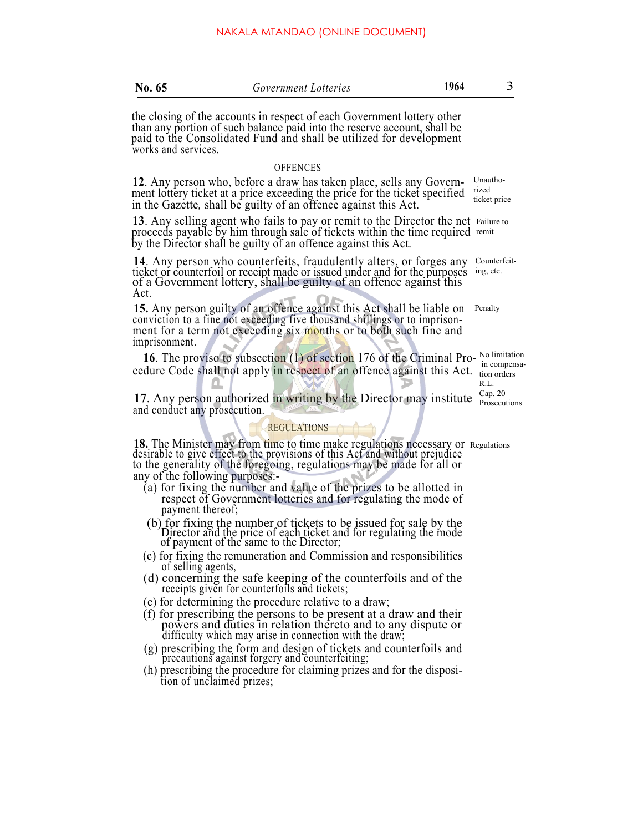| No. $65$ | Government Lotteries                                                    | 1964 |  |
|----------|-------------------------------------------------------------------------|------|--|
|          | the closing of the accounts in respect of each Government lottery other |      |  |

than any portion of such balance paid into the reserve account, shall be paid to the Consolidated Fund and shall be utilized for development works and services.

#### **OFFENCES**

**12**. Any person who, before a draw has taken place, sells any Govern-<br>ment lottery ticket at a price exceeding the price for the ticket specified in the Gazette*,* shall be guilty of an offence against this Act.

**<sup>13</sup>**. Any selling agent who fails to pay or remit to the Director the net proceeds payable by him through sale of tickets within the time required by the Director shall be guilty of an offence against this Act. 13. Any selling agent who fails to pay or remit to the Director the net Failure to remit

**14**. Any person who counterfeits, fraudulently alters, or forges any counter ticket or counterfoil or receipt made or issued under and for the purposes ing, etc. of a Government lottery, shall be guilty of an offence against this Act. 14. Any person who counterfeits, fraudulently alters, or forges any Counterfeit-

**15.** Any person guilty of an offence against this Act shall be liable on Penalty conviction to a fine not exceeding five thousand shillings or to imprisonment for a term not exceeding six months or to both such fine and imprisonment.

**16**. The proviso to subsection (1) of section 176 of the Criminal Pro- No limitation cedure Code shall not apply in respect of an offence against this Act. tion orders

**17.** Any person authorized in writing by the Director may institute  $\frac{cap.20}{Processing}$ and conduct any prosecution.

#### REGULATIONS

**18.** The Minister may from time to time make regulations necessary or desirable to give effect to the provisions of this Act and without prejudice to the generality of the foregoing, regulations may be made for all or to the generality of the foregoing, regulations may be made for all or any of the following purposes:-

- (a) for fixing the number and value of the prizes to be allotted in respect of Government lotteries and for regulating the mode of payment thereof;
- (b) for fixing the number of tickets to be issued for sale by the Director and the price of each ticket and for regulating the mode of payment of the same to the Director;
- (c) for fixing the remuneration and Commission and responsibilities of selling agents,
- (d) concerning the safe keeping of the counterfoils and of the receipts given for counterfoils and tickets;
- (e) for determining the procedure relative to a draw;
- (f) for prescribing the persons to be present at a draw and their powers and duties in relation thereto and to any dispute or difficulty which may arise in connection with the draw;
- (g) prescribing the form and design of tickets and counterfoils and precautions against forgery and counterfeiting;
- (h) prescribing the procedure for claiming prizes and for the disposi tion of unclaimed prizes;

Unauthorized ticket price

 in compensa-R.L. Cap. 20

Regulations